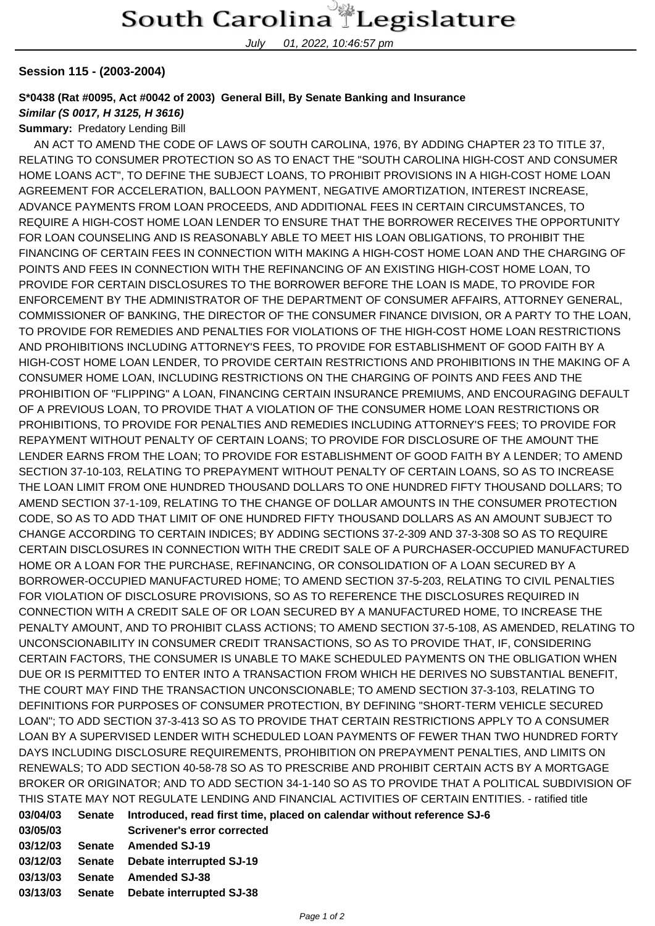July 01, 2022, 10:46:57 pm

## **Session 115 - (2003-2004)**

## **S\*0438 (Rat #0095, Act #0042 of 2003) General Bill, By Senate Banking and Insurance**

## **Similar (S 0017, H 3125, H 3616)**

**Summary:** Predatory Lending Bill

 AN ACT TO AMEND THE CODE OF LAWS OF SOUTH CAROLINA, 1976, BY ADDING CHAPTER 23 TO TITLE 37, RELATING TO CONSUMER PROTECTION SO AS TO ENACT THE "SOUTH CAROLINA HIGH-COST AND CONSUMER HOME LOANS ACT", TO DEFINE THE SUBJECT LOANS, TO PROHIBIT PROVISIONS IN A HIGH-COST HOME LOAN AGREEMENT FOR ACCELERATION, BALLOON PAYMENT, NEGATIVE AMORTIZATION, INTEREST INCREASE, ADVANCE PAYMENTS FROM LOAN PROCEEDS, AND ADDITIONAL FEES IN CERTAIN CIRCUMSTANCES, TO REQUIRE A HIGH-COST HOME LOAN LENDER TO ENSURE THAT THE BORROWER RECEIVES THE OPPORTUNITY FOR LOAN COUNSELING AND IS REASONABLY ABLE TO MEET HIS LOAN OBLIGATIONS, TO PROHIBIT THE FINANCING OF CERTAIN FEES IN CONNECTION WITH MAKING A HIGH-COST HOME LOAN AND THE CHARGING OF POINTS AND FEES IN CONNECTION WITH THE REFINANCING OF AN EXISTING HIGH-COST HOME LOAN, TO PROVIDE FOR CERTAIN DISCLOSURES TO THE BORROWER BEFORE THE LOAN IS MADE, TO PROVIDE FOR ENFORCEMENT BY THE ADMINISTRATOR OF THE DEPARTMENT OF CONSUMER AFFAIRS, ATTORNEY GENERAL, COMMISSIONER OF BANKING, THE DIRECTOR OF THE CONSUMER FINANCE DIVISION, OR A PARTY TO THE LOAN, TO PROVIDE FOR REMEDIES AND PENALTIES FOR VIOLATIONS OF THE HIGH-COST HOME LOAN RESTRICTIONS AND PROHIBITIONS INCLUDING ATTORNEY'S FEES, TO PROVIDE FOR ESTABLISHMENT OF GOOD FAITH BY A HIGH-COST HOME LOAN LENDER, TO PROVIDE CERTAIN RESTRICTIONS AND PROHIBITIONS IN THE MAKING OF A CONSUMER HOME LOAN, INCLUDING RESTRICTIONS ON THE CHARGING OF POINTS AND FEES AND THE PROHIBITION OF "FLIPPING" A LOAN, FINANCING CERTAIN INSURANCE PREMIUMS, AND ENCOURAGING DEFAULT OF A PREVIOUS LOAN, TO PROVIDE THAT A VIOLATION OF THE CONSUMER HOME LOAN RESTRICTIONS OR PROHIBITIONS, TO PROVIDE FOR PENALTIES AND REMEDIES INCLUDING ATTORNEY'S FEES; TO PROVIDE FOR REPAYMENT WITHOUT PENALTY OF CERTAIN LOANS; TO PROVIDE FOR DISCLOSURE OF THE AMOUNT THE LENDER EARNS FROM THE LOAN; TO PROVIDE FOR ESTABLISHMENT OF GOOD FAITH BY A LENDER; TO AMEND SECTION 37-10-103, RELATING TO PREPAYMENT WITHOUT PENALTY OF CERTAIN LOANS, SO AS TO INCREASE THE LOAN LIMIT FROM ONE HUNDRED THOUSAND DOLLARS TO ONE HUNDRED FIFTY THOUSAND DOLLARS; TO AMEND SECTION 37-1-109, RELATING TO THE CHANGE OF DOLLAR AMOUNTS IN THE CONSUMER PROTECTION CODE, SO AS TO ADD THAT LIMIT OF ONE HUNDRED FIFTY THOUSAND DOLLARS AS AN AMOUNT SUBJECT TO CHANGE ACCORDING TO CERTAIN INDICES; BY ADDING SECTIONS 37-2-309 AND 37-3-308 SO AS TO REQUIRE CERTAIN DISCLOSURES IN CONNECTION WITH THE CREDIT SALE OF A PURCHASER-OCCUPIED MANUFACTURED HOME OR A LOAN FOR THE PURCHASE, REFINANCING, OR CONSOLIDATION OF A LOAN SECURED BY A BORROWER-OCCUPIED MANUFACTURED HOME; TO AMEND SECTION 37-5-203, RELATING TO CIVIL PENALTIES FOR VIOLATION OF DISCLOSURE PROVISIONS, SO AS TO REFERENCE THE DISCLOSURES REQUIRED IN CONNECTION WITH A CREDIT SALE OF OR LOAN SECURED BY A MANUFACTURED HOME, TO INCREASE THE PENALTY AMOUNT, AND TO PROHIBIT CLASS ACTIONS; TO AMEND SECTION 37-5-108, AS AMENDED, RELATING TO UNCONSCIONABILITY IN CONSUMER CREDIT TRANSACTIONS, SO AS TO PROVIDE THAT, IF, CONSIDERING CERTAIN FACTORS, THE CONSUMER IS UNABLE TO MAKE SCHEDULED PAYMENTS ON THE OBLIGATION WHEN DUE OR IS PERMITTED TO ENTER INTO A TRANSACTION FROM WHICH HE DERIVES NO SUBSTANTIAL BENEFIT, THE COURT MAY FIND THE TRANSACTION UNCONSCIONABLE; TO AMEND SECTION 37-3-103, RELATING TO DEFINITIONS FOR PURPOSES OF CONSUMER PROTECTION, BY DEFINING "SHORT-TERM VEHICLE SECURED LOAN"; TO ADD SECTION 37-3-413 SO AS TO PROVIDE THAT CERTAIN RESTRICTIONS APPLY TO A CONSUMER LOAN BY A SUPERVISED LENDER WITH SCHEDULED LOAN PAYMENTS OF FEWER THAN TWO HUNDRED FORTY DAYS INCLUDING DISCLOSURE REQUIREMENTS, PROHIBITION ON PREPAYMENT PENALTIES, AND LIMITS ON RENEWALS; TO ADD SECTION 40-58-78 SO AS TO PRESCRIBE AND PROHIBIT CERTAIN ACTS BY A MORTGAGE BROKER OR ORIGINATOR; AND TO ADD SECTION 34-1-140 SO AS TO PROVIDE THAT A POLITICAL SUBDIVISION OF THIS STATE MAY NOT REGULATE LENDING AND FINANCIAL ACTIVITIES OF CERTAIN ENTITIES. - ratified title

| 03/04/03 | Senate | Introduced, read first time, placed on calendar without reference SJ-6 |
|----------|--------|------------------------------------------------------------------------|
| 03/05/03 |        | <b>Scrivener's error corrected</b>                                     |
| 03/12/03 | Senate | Amended SJ-19                                                          |
| 03/12/03 |        | Senate Debate interrupted SJ-19                                        |
| 03/13/03 |        | Senate Amended SJ-38                                                   |
| 03/13/03 |        | Senate Debate interrupted SJ-38                                        |